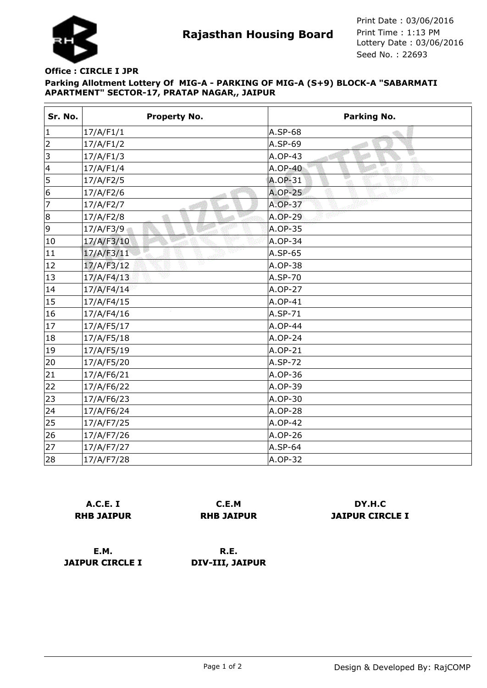

**Rajasthan Housing Board** Print Time : 1:13 PM<br>Lottery Date : 03/06/2016 Seed No. : 22693 Print Date : 03/06/2016 Print Time : 1:13 PM

## **Parking Allotment Lottery Of MIG-A - PARKING OF MIG-A (S+9) BLOCK-A "SABARMATI APARTMENT" SECTOR-17, PRATAP NAGAR,, JAIPUR Office : CIRCLE I JPR**

| Sr. No. | <b>Property No.</b> | <b>Parking No.</b>  |
|---------|---------------------|---------------------|
| 1       | 17/A/F1/1           | A.SP-68             |
| 2       | 17/A/F1/2           | A.SP-69             |
| 3       | 17/A/F1/3           | Đ<br>A.OP-43<br>-at |
| 4       | 17/A/F1/4           | A.OP-40             |
| 5       | 17/A/F2/5           | w<br>A.OP-31        |
| 6       | 17/A/F2/6           | <b>A.OP-25</b>      |
| 7       | 17/A/F2/7           | $A.OP-37$           |
| 8       | 17/A/F2/8           | A.OP-29             |
| 9       | 17/A/F3/9           | $A.OP-35$           |
| 10      | 17/A/F3/10          | A.OP-34             |
| 11      | 17/A/F3/11          | $A.SP-65$           |
| 12      | v<br>17/A/F3/12     | A.OP-38             |
| 13      | 17/A/F4/13          | A.SP-70             |
| 14      | 17/A/F4/14          | A.OP-27             |
| 15      | 17/A/F4/15          | A.OP-41             |
| 16      | 17/A/F4/16          | A.SP-71             |
| 17      | 17/A/F5/17          | A.OP-44             |
| 18      | 17/A/F5/18          | A.OP-24             |
| 19      | 17/A/F5/19          | A.OP-21             |
| 20      | 17/A/F5/20          | A.SP-72             |
| 21      | 17/A/F6/21          | A.OP-36             |
| 22      | 17/A/F6/22          | A.OP-39             |
| 23      | 17/A/F6/23          | A.OP-30             |
| 24      | 17/A/F6/24          | A.OP-28             |
| 25      | 17/A/F7/25          | A.OP-42             |
| 26      | 17/A/F7/26          | A.OP-26             |
| 27      | 17/A/F7/27          | A.SP-64             |
| 28      | 17/A/F7/28          | A.OP-32             |

|                   | <b>A.C.E. I</b> |  |
|-------------------|-----------------|--|
| <b>RHB JAIPUR</b> |                 |  |

**C.E.M RHB JAIPUR**

**DY.H.C JAIPUR CIRCLE I**

**E.M. JAIPUR CIRCLE I**

**R.E. DIV-III, JAIPUR**